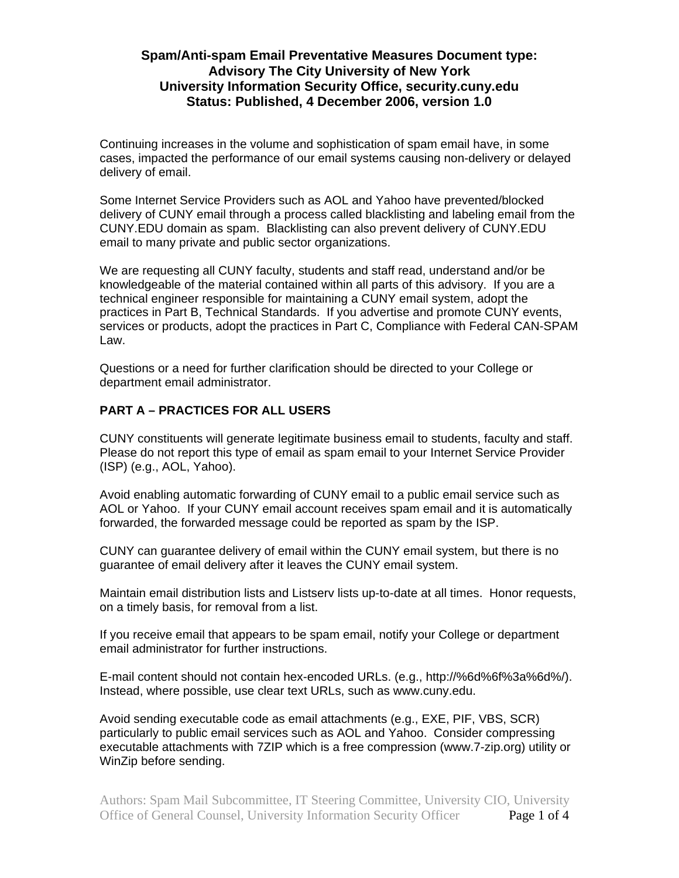# **Spam/Anti-spam Email Preventative Measures Document type: Advisory The City University of New York University Information Security Office, security.cuny.edu Status: Published, 4 December 2006, version 1.0**

Continuing increases in the volume and sophistication of spam email have, in some cases, impacted the performance of our email systems causing non-delivery or delayed delivery of email.

Some Internet Service Providers such as AOL and Yahoo have prevented/blocked delivery of CUNY email through a process called blacklisting and labeling email from the CUNY.EDU domain as spam. Blacklisting can also prevent delivery of CUNY.EDU email to many private and public sector organizations.

We are requesting all CUNY faculty, students and staff read, understand and/or be knowledgeable of the material contained within all parts of this advisory. If you are a technical engineer responsible for maintaining a CUNY email system, adopt the practices in Part B, Technical Standards. If you advertise and promote CUNY events, services or products, adopt the practices in Part C, Compliance with Federal CAN-SPAM Law.

Questions or a need for further clarification should be directed to your College or department email administrator.

#### **PART A – PRACTICES FOR ALL USERS**

CUNY constituents will generate legitimate business email to students, faculty and staff. Please do not report this type of email as spam email to your Internet Service Provider (ISP) (e.g., AOL, Yahoo).

Avoid enabling automatic forwarding of CUNY email to a public email service such as AOL or Yahoo. If your CUNY email account receives spam email and it is automatically forwarded, the forwarded message could be reported as spam by the ISP.

CUNY can guarantee delivery of email within the CUNY email system, but there is no guarantee of email delivery after it leaves the CUNY email system.

Maintain email distribution lists and Listserv lists up-to-date at all times. Honor requests, on a timely basis, for removal from a list.

If you receive email that appears to be spam email, notify your College or department email administrator for further instructions.

E-mail content should not contain hex-encoded URLs. (e.g., http://%6d%6f%3a%6d%/). Instead, where possible, use clear text URLs, such as www.cuny.edu.

Avoid sending executable code as email attachments (e.g., EXE, PIF, VBS, SCR) particularly to public email services such as AOL and Yahoo. Consider compressing executable attachments with 7ZIP which is a free compression (www.7-zip.org) utility or WinZip before sending.

Authors: Spam Mail Subcommittee, IT Steering Committee, University CIO, University Office of General Counsel, University Information Security Officer Page 1 of 4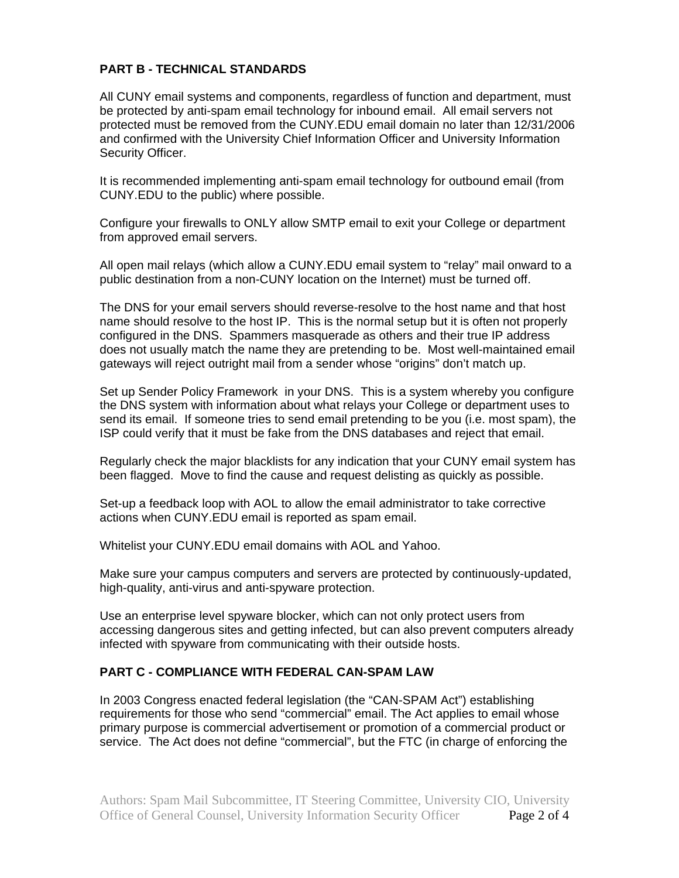### **PART B - TECHNICAL STANDARDS**

All CUNY email systems and components, regardless of function and department, must be protected by anti-spam email technology for inbound email. All email servers not protected must be removed from the CUNY.EDU email domain no later than 12/31/2006 and confirmed with the University Chief Information Officer and University Information Security Officer.

It is recommended implementing anti-spam email technology for outbound email (from CUNY.EDU to the public) where possible.

Configure your firewalls to ONLY allow SMTP email to exit your College or department from approved email servers.

All open mail relays (which allow a CUNY.EDU email system to "relay" mail onward to a public destination from a non-CUNY location on the Internet) must be turned off.

The DNS for your email servers should reverse-resolve to the host name and that host name should resolve to the host IP. This is the normal setup but it is often not properly configured in the DNS. Spammers masquerade as others and their true IP address does not usually match the name they are pretending to be. Most well-maintained email gateways will reject outright mail from a sender whose "origins" don't match up.

Set up Sender Policy Framework in your DNS. This is a system whereby you configure the DNS system with information about what relays your College or department uses to send its email. If someone tries to send email pretending to be you (i.e. most spam), the ISP could verify that it must be fake from the DNS databases and reject that email.

Regularly check the major blacklists for any indication that your CUNY email system has been flagged. Move to find the cause and request delisting as quickly as possible.

Set-up a feedback loop with AOL to allow the email administrator to take corrective actions when CUNY.EDU email is reported as spam email.

Whitelist your CUNY.EDU email domains with AOL and Yahoo.

Make sure your campus computers and servers are protected by continuously-updated, high-quality, anti-virus and anti-spyware protection.

Use an enterprise level spyware blocker, which can not only protect users from accessing dangerous sites and getting infected, but can also prevent computers already infected with spyware from communicating with their outside hosts.

#### **PART C - COMPLIANCE WITH FEDERAL CAN-SPAM LAW**

In 2003 Congress enacted federal legislation (the "CAN-SPAM Act") establishing requirements for those who send "commercial" email. The Act applies to email whose primary purpose is commercial advertisement or promotion of a commercial product or service. The Act does not define "commercial", but the FTC (in charge of enforcing the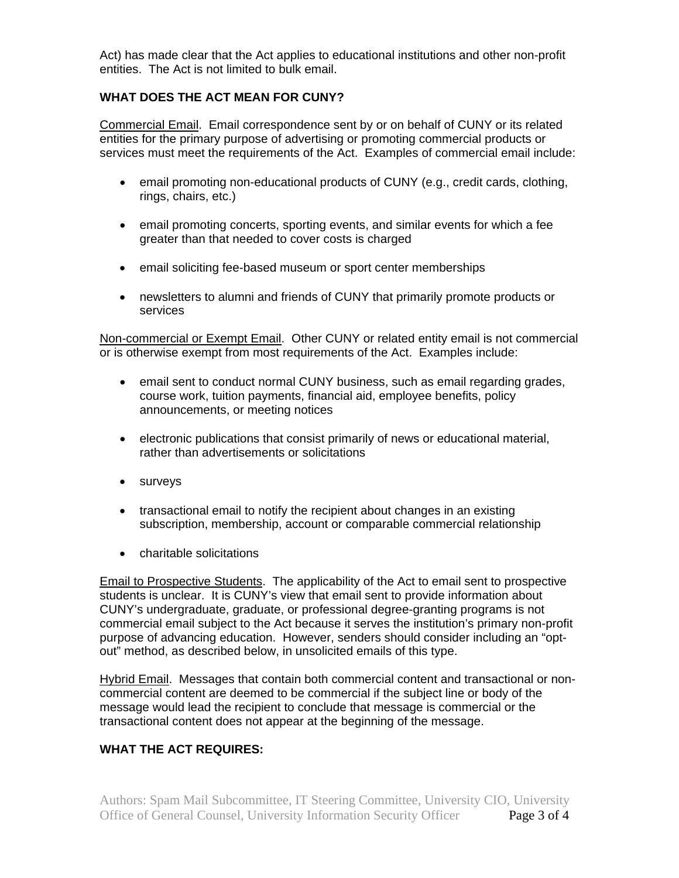Act) has made clear that the Act applies to educational institutions and other non-profit entities. The Act is not limited to bulk email.

### **WHAT DOES THE ACT MEAN FOR CUNY?**

Commercial Email. Email correspondence sent by or on behalf of CUNY or its related entities for the primary purpose of advertising or promoting commercial products or services must meet the requirements of the Act. Examples of commercial email include:

- email promoting non-educational products of CUNY (e.g., credit cards, clothing, rings, chairs, etc.)
- email promoting concerts, sporting events, and similar events for which a fee greater than that needed to cover costs is charged
- email soliciting fee-based museum or sport center memberships
- newsletters to alumni and friends of CUNY that primarily promote products or services

Non-commercial or Exempt Email. Other CUNY or related entity email is not commercial or is otherwise exempt from most requirements of the Act. Examples include:

- email sent to conduct normal CUNY business, such as email regarding grades, course work, tuition payments, financial aid, employee benefits, policy announcements, or meeting notices
- electronic publications that consist primarily of news or educational material, rather than advertisements or solicitations
- surveys
- transactional email to notify the recipient about changes in an existing subscription, membership, account or comparable commercial relationship
- charitable solicitations

Email to Prospective Students. The applicability of the Act to email sent to prospective students is unclear. It is CUNY's view that email sent to provide information about CUNY's undergraduate, graduate, or professional degree-granting programs is not commercial email subject to the Act because it serves the institution's primary non-profit purpose of advancing education. However, senders should consider including an "optout" method, as described below, in unsolicited emails of this type.

Hybrid Email. Messages that contain both commercial content and transactional or noncommercial content are deemed to be commercial if the subject line or body of the message would lead the recipient to conclude that message is commercial or the transactional content does not appear at the beginning of the message.

# **WHAT THE ACT REQUIRES:**